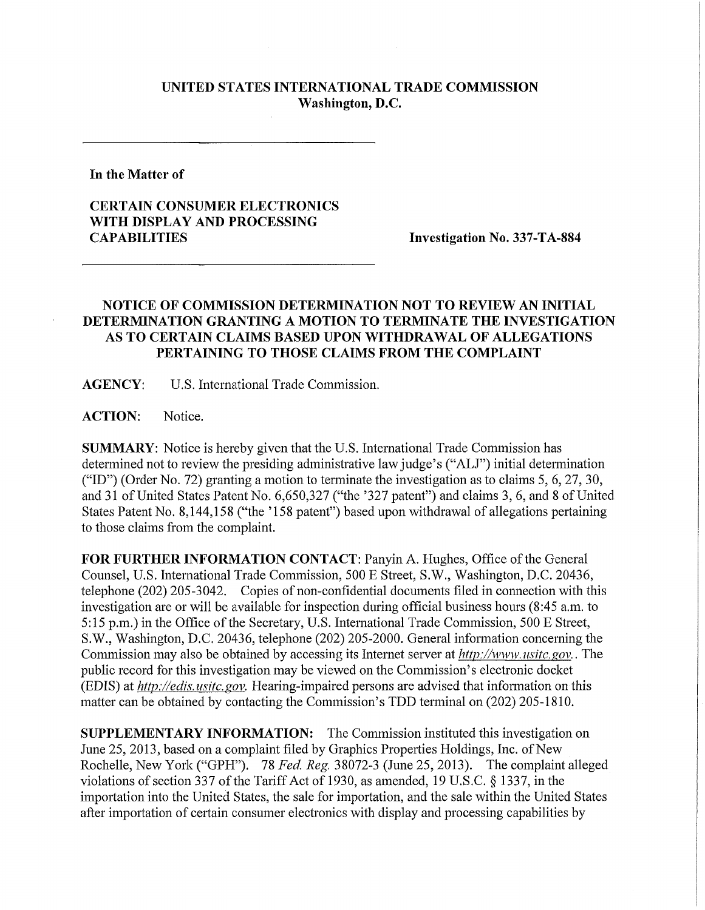## **UNITED STATES INTERNATIONAL TRADE COMMISSION Washington, D.C.**

**In the Matter of** 

## **CERTAIN CONSUMER ELECTRONICS WITH DISPLAY AND PROCESSING**

**Investigation No. 337-TA-884** 

## **NOTICE OF COMMISSION DETERMINATION NOT TO REVIEW AN INITIAL DETERMINATION GRANTING A MOTION TO TERMINATE THE INVESTIGATION AS TO CERTAIN CLAIMS BASED UPON WITHDRAWAL OF ALLEGATIONS PERTAINING TO THOSE CLAIMS FROM THE COMPLAINT**

**AGENCY:** U.S. International Trade Commission.

**ACTION:** Notice.

**SUMMARY:** Notice is hereby given that the U.S. International Trade Commission has determined not to review the presiding administrative law judge's ("ALJ") initial determination ("ID") (Order No. 72) granting a motion to terminate the investigation as to claims 5, 6, 27, 30, and 31 of United States Patent No. 6,650,327 ("the '327 patent") and claims 3, 6, and 8 of United States Patent No. 8,144,158 ("the '158 patent") based upon withdrawal of allegations pertaining to those claims from the complaint.

**FOR FURTHER INFORMATION CONTACT: Panyin A. Hughes, Office of the General** Counsel, U.S. International Trade Commission, 500 E Street, S.W., Washington, D.C. 20436, telephone (202) 205-3042. Copies of non-confidential documents filed in connection with this investigation are or will be available for inspection during official business hours (8:45 a.m. to 5:15 p.m.) in the Office of the Secretary, U.S. International Trade Commission, 500 E Street, S.W., Washington, D.C. 20436, telephone (202) 205-2000. General information concerning the Commission may also be obtained by accessing its Internet server at *http://www. usitc. gov..* The public record for this investigation may be viewed on the Commission's electronic docket (EDIS) at *http://edis. usitc.* gov. Hearing-impaired persons are advised that information on this matter can be obtained by contacting the Commission's TDD terminal on (202) 205-1810.

**SUPPLEMENTARY INFORMATION:** The Commission instituted this investigation on June 25, 2013, based on a complaint filed by Graphics Properties Holdings, Inc. of New Rochelle, New York ("GPH"). 78 Fed. Reg. 38072-3 (June 25, 2013). The complaint alleged violations of section 337 of the Tariff Act of 1930, as amended, 19 U.S.C. § 1337, in the importation into the United States, the sale for importation, and the sale within the United States after importation of certain consumer electronics with display and processing capabilities by